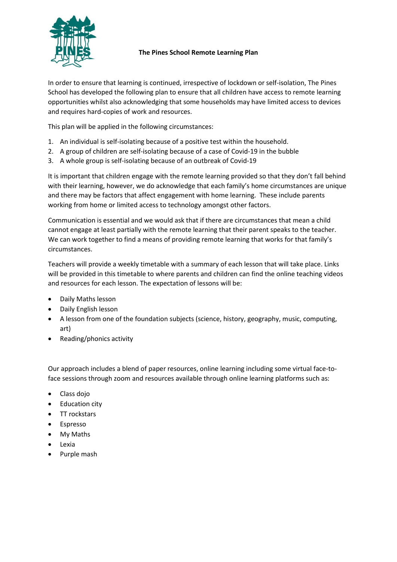

# **The Pines School Remote Learning Plan**

In order to ensure that learning is continued, irrespective of lockdown or self-isolation, The Pines School has developed the following plan to ensure that all children have access to remote learning opportunities whilst also acknowledging that some households may have limited access to devices and requires hard-copies of work and resources.

This plan will be applied in the following circumstances:

- 1. An individual is self-isolating because of a positive test within the household.
- 2. A group of children are self-isolating because of a case of Covid-19 in the bubble
- 3. A whole group is self-isolating because of an outbreak of Covid-19

It is important that children engage with the remote learning provided so that they don't fall behind with their learning, however, we do acknowledge that each family's home circumstances are unique and there may be factors that affect engagement with home learning. These include parents working from home or limited access to technology amongst other factors.

Communication is essential and we would ask that if there are circumstances that mean a child cannot engage at least partially with the remote learning that their parent speaks to the teacher. We can work together to find a means of providing remote learning that works for that family's circumstances.

Teachers will provide a weekly timetable with a summary of each lesson that will take place. Links will be provided in this timetable to where parents and children can find the online teaching videos and resources for each lesson. The expectation of lessons will be:

- Daily Maths lesson
- Daily English lesson
- A lesson from one of the foundation subjects (science, history, geography, music, computing, art)
- Reading/phonics activity

Our approach includes a blend of paper resources, online learning including some virtual face-toface sessions through zoom and resources available through online learning platforms such as:

- Class dojo
- Education city
- TT rockstars
- Espresso
- My Maths
- Lexia
- Purple mash